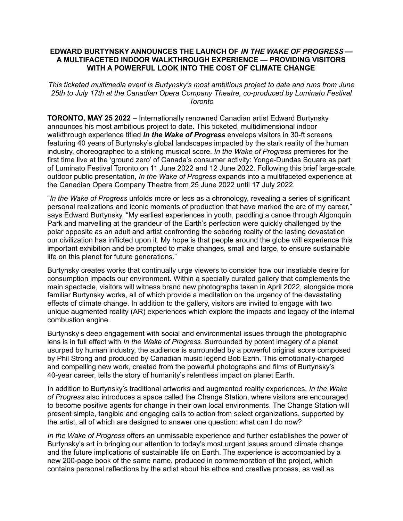#### **EDWARD BURTYNSKY ANNOUNCES THE LAUNCH OF** *IN THE WAKE OF PROGRESS* **— A MULTIFACETED INDOOR WALKTHROUGH EXPERIENCE — PROVIDING VISITORS WITH A POWERFUL LOOK INTO THE COST OF CLIMATE CHANGE**

*This ticketed multimedia event is Burtynsky's most ambitious project to date and runs from June 25th to July 17th at the Canadian Opera Company Theatre, co-produced by Luminato Festival Toronto*

**TORONTO, MAY 25 2022** – Internationally renowned Canadian artist Edward Burtynsky announces his most ambitious project to date. This ticketed, multidimensional indoor walkthrough experience titled *In the Wake of Progress* envelops visitors in 30-ft screens featuring 40 years of Burtynsky's global landscapes impacted by the stark reality of the human industry, choreographed to a striking musical score. *In the Wake of Progress* premieres for the first time live at the 'ground zero' of Canada's consumer activity: Yonge-Dundas Square as part of Luminato Festival Toronto on 11 June 2022 and 12 June 2022. Following this brief large-scale outdoor public presentation, *In the Wake of Progress* expands into a multifaceted experience at the Canadian Opera Company Theatre from 25 June 2022 until 17 July 2022.

"*In the Wake of Progress* unfolds more or less as a chronology, revealing a series of significant personal realizations and iconic moments of production that have marked the arc of my career," says Edward Burtynsky. "My earliest experiences in youth, paddling a canoe through Algonquin Park and marvelling at the grandeur of the Earth's perfection were quickly challenged by the polar opposite as an adult and artist confronting the sobering reality of the lasting devastation our civilization has inflicted upon it. My hope is that people around the globe will experience this important exhibition and be prompted to make changes, small and large, to ensure sustainable life on this planet for future generations."

Burtynsky creates works that continually urge viewers to consider how our insatiable desire for consumption impacts our environment. Within a specially curated gallery that complements the main spectacle, visitors will witness brand new photographs taken in April 2022, alongside more familiar Burtynsky works, all of which provide a meditation on the urgency of the devastating effects of climate change. In addition to the gallery, visitors are invited to engage with two unique augmented reality (AR) experiences which explore the impacts and legacy of the internal combustion engine.

Burtynsky's deep engagement with social and environmental issues through the photographic lens is in full effect with *In the Wake of Progress*. Surrounded by potent imagery of a planet usurped by human industry, the audience is surrounded by a powerful original score composed by Phil Strong and produced by Canadian music legend Bob Ezrin. This emotionally-charged and compelling new work, created from the powerful photographs and films of Burtynsky's 40-year career, tells the story of humanity's relentless impact on planet Earth.

In addition to Burtynsky's traditional artworks and augmented reality experiences, *In the Wake of Progress* also introduces a space called the Change Station, where visitors are encouraged to become positive agents for change in their own local environments. The Change Station will present simple, tangible and engaging calls to action from select organizations, supported by the artist, all of which are designed to answer one question: what can I do now?

*In the Wake of Progress* offers an unmissable experience and further establishes the power of Burtynsky's art in bringing our attention to today's most urgent issues around climate change and the future implications of sustainable life on Earth. The experience is accompanied by a new 200-page book of the same name, produced in commemoration of the project, which contains personal reflections by the artist about his ethos and creative process, as well as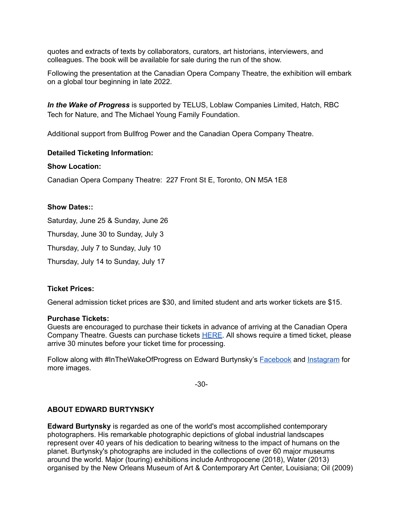quotes and extracts of texts by collaborators, curators, art historians, interviewers, and colleagues. The book will be available for sale during the run of the show.

Following the presentation at the Canadian Opera Company Theatre, the exhibition will embark on a global tour beginning in late 2022.

*In the Wake of Progress* is supported by TELUS, Loblaw Companies Limited, Hatch, RBC Tech for Nature, and The Michael Young Family Foundation.

Additional support from Bullfrog Power and the Canadian Opera Company Theatre.

### **Detailed Ticketing Information:**

### **Show Location:**

Canadian Opera Company Theatre: 227 Front St E, Toronto, ON M5A 1E8

### **Show Dates::**

Saturday, June 25 & Sunday, June 26

Thursday, June 30 to Sunday, July 3

Thursday, July 7 to Sunday, July 10

Thursday, July 14 to Sunday, July 17

# **Ticket Prices:**

General admission ticket prices are \$30, and limited student and arts worker tickets are \$15.

### **Purchase Tickets:**

Guests are encouraged to purchase their tickets in advance of arriving at the Canadian Opera Company Theatre. Guests can purchase tickets [HERE.](https://luminatofestival.com/event/edward-burtynskys-in-the-wake-of-progress-indoor-experience/) All shows require a timed ticket, please arrive 30 minutes before your ticket time for processing.

Follow along with #InTheWakeOfProgress on Edward Burtynsky's [Facebook](https://www.facebook.com/EdwardBurtynsky) and [Instagram](https://www.instagram.com/edwardburtynsky/) for more images.

-30-

# **ABOUT EDWARD BURTYNSKY**

**Edward Burtynsky** is regarded as one of the world's most accomplished contemporary photographers. His remarkable photographic depictions of global industrial landscapes represent over 40 years of his dedication to bearing witness to the impact of humans on the planet. Burtynsky's photographs are included in the collections of over 60 major museums around the world. Major (touring) exhibitions include Anthropocene (2018), Water (2013) organised by the New Orleans Museum of Art & Contemporary Art Center, Louisiana; Oil (2009)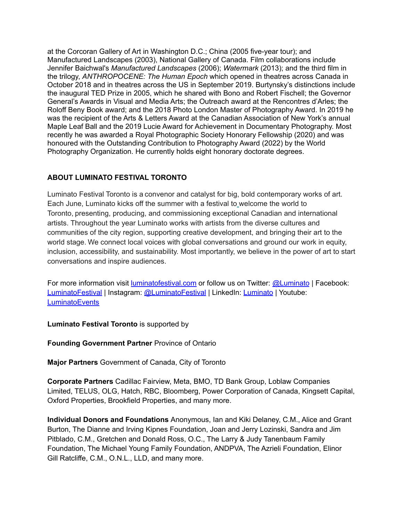at the Corcoran Gallery of Art in Washington D.C.; China (2005 five-year tour); and Manufactured Landscapes (2003), National Gallery of Canada. Film collaborations include Jennifer Baichwal's *Manufactured Landscapes* (2006); *Watermark* (2013); and the third film in the trilogy, *ANTHROPOCENE: The Human Epoch* which opened in theatres across Canada in October 2018 and in theatres across the US in September 2019. Burtynsky's distinctions include the inaugural TED Prize in 2005, which he shared with Bono and Robert Fischell; the Governor General's Awards in Visual and Media Arts; the Outreach award at the Rencontres d'Arles; the Roloff Beny Book award; and the 2018 Photo London Master of Photography Award. In 2019 he was the recipient of the Arts & Letters Award at the Canadian Association of New York's annual Maple Leaf Ball and the 2019 Lucie Award for Achievement in Documentary Photography. Most recently he was awarded a Royal Photographic Society Honorary Fellowship (2020) and was honoured with the Outstanding Contribution to Photography Award (2022) by the World Photography Organization. He currently holds eight honorary doctorate degrees.

# **ABOUT LUMINATO FESTIVAL TORONTO**

Luminato Festival Toronto is a convenor and catalyst for big, bold contemporary works of art. Each June, Luminato kicks off the summer with a festival to welcome the world to Toronto, presenting, producing, and commissioning exceptional Canadian and international artists. Throughout the year Luminato works with artists from the diverse cultures and communities of the city region, supporting creative development, and bringing their art to the world stage. We connect local voices with global conversations and ground our work in equity, inclusion, accessibility, and sustainability. Most importantly, we believe in the power of art to start conversations and inspire audiences.

For more information visit [luminatofestival.com](https://luminatofestival.com/) or follow us on Twitter: [@Luminato](https://twitter.com/luminato) | Facebook: [LuminatoFestival](https://www.facebook.com/luminatofestival/) | Instagram: [@LuminatoFestival](https://www.instagram.com/luminatofestival/) | LinkedIn: [Luminato](https://www.linkedin.com/company/luminato-toronto-festival-of-arts-and-creativity) | Youtube: **[LuminatoEvents](https://www.youtube.com/user/LuminatoEvents)** 

**Luminato Festival Toronto** is supported by

**Founding Government Partner** Province of Ontario

**Major Partners** Government of Canada, City of Toronto

**Corporate Partners** Cadillac Fairview, Meta, BMO, TD Bank Group, Loblaw Companies Limited, TELUS, OLG, Hatch, RBC, Bloomberg, Power Corporation of Canada, Kingsett Capital, Oxford Properties, Brookfield Properties, and many more.

**Individual Donors and Foundations** Anonymous, Ian and Kiki Delaney, C.M., Alice and Grant Burton, The Dianne and Irving Kipnes Foundation, Joan and Jerry Lozinski, Sandra and Jim Pitblado, C.M., Gretchen and Donald Ross, O.C., The Larry & Judy Tanenbaum Family Foundation, The Michael Young Family Foundation, ANDPVA, The Azrieli Foundation, Elinor Gill Ratcliffe, C.M., O.N.L., LLD, and many more.